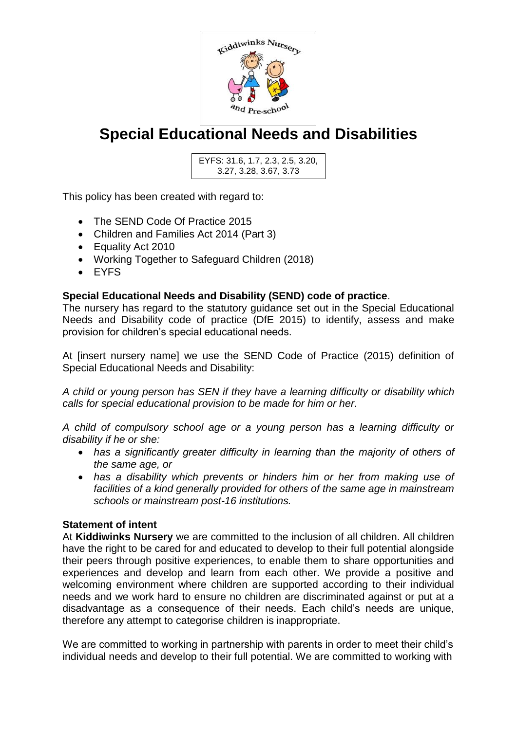

# **Special Educational Needs and Disabilities**

| EYFS: 31.6, 1.7, 2.3, 2.5, 3.20, |  |
|----------------------------------|--|
| 3.27, 3.28, 3.67, 3.73           |  |

This policy has been created with regard to:

- The SEND Code Of Practice 2015
- Children and Families Act 2014 (Part 3)
- Equality Act 2010
- Working Together to Safeguard Children (2018)
- FYFS

#### **Special Educational Needs and Disability (SEND) code of practice**.

The nursery has regard to the statutory guidance set out in the Special Educational Needs and Disability code of practice (DfE 2015) to identify, assess and make provision for children's special educational needs.

At [insert nursery name] we use the SEND Code of Practice (2015) definition of Special Educational Needs and Disability:

*A child or young person has SEN if they have a learning difficulty or disability which calls for special educational provision to be made for him or her.*

*A child of compulsory school age or a young person has a learning difficulty or disability if he or she:*

- *has a significantly greater difficulty in learning than the majority of others of the same age, or*
- *has a disability which prevents or hinders him or her from making use of facilities of a kind generally provided for others of the same age in mainstream schools or mainstream post-16 institutions.*

#### **Statement of intent**

At **Kiddiwinks Nursery** we are committed to the inclusion of all children. All children have the right to be cared for and educated to develop to their full potential alongside their peers through positive experiences, to enable them to share opportunities and experiences and develop and learn from each other. We provide a positive and welcoming environment where children are supported according to their individual needs and we work hard to ensure no children are discriminated against or put at a disadvantage as a consequence of their needs. Each child's needs are unique, therefore any attempt to categorise children is inappropriate.

We are committed to working in partnership with parents in order to meet their child's individual needs and develop to their full potential. We are committed to working with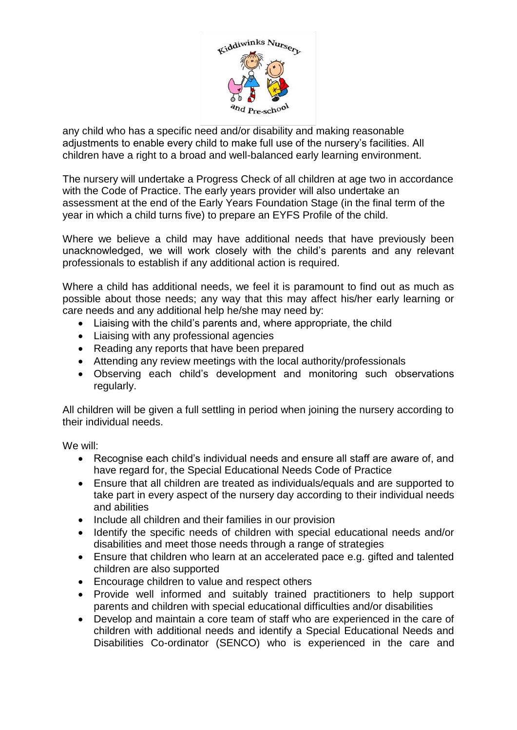

any child who has a specific need and/or disability and making reasonable adjustments to enable every child to make full use of the nursery's facilities. All children have a right to a broad and well-balanced early learning environment.

The nursery will undertake a Progress Check of all children at age two in accordance with the Code of Practice. The early years provider will also undertake an assessment at the end of the Early Years Foundation Stage (in the final term of the year in which a child turns five) to prepare an EYFS Profile of the child.

Where we believe a child may have additional needs that have previously been unacknowledged, we will work closely with the child's parents and any relevant professionals to establish if any additional action is required.

Where a child has additional needs, we feel it is paramount to find out as much as possible about those needs; any way that this may affect his/her early learning or care needs and any additional help he/she may need by:

- Liaising with the child's parents and, where appropriate, the child
- Liaising with any professional agencies
- Reading any reports that have been prepared
- Attending any review meetings with the local authority/professionals
- Observing each child's development and monitoring such observations regularly.

All children will be given a full settling in period when joining the nursery according to their individual needs.

We will:

- Recognise each child's individual needs and ensure all staff are aware of, and have regard for, the Special Educational Needs Code of Practice
- Ensure that all children are treated as individuals/equals and are supported to take part in every aspect of the nursery day according to their individual needs and abilities
- Include all children and their families in our provision
- Identify the specific needs of children with special educational needs and/or disabilities and meet those needs through a range of strategies
- Ensure that children who learn at an accelerated pace e.g. gifted and talented children are also supported
- Encourage children to value and respect others
- Provide well informed and suitably trained practitioners to help support parents and children with special educational difficulties and/or disabilities
- Develop and maintain a core team of staff who are experienced in the care of children with additional needs and identify a Special Educational Needs and Disabilities Co-ordinator (SENCO) who is experienced in the care and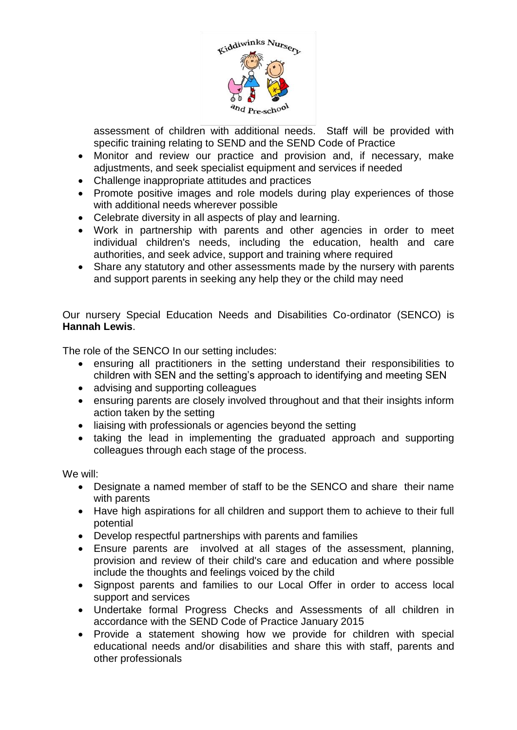

assessment of children with additional needs. Staff will be provided with specific training relating to SEND and the SEND Code of Practice

- Monitor and review our practice and provision and, if necessary, make adjustments, and seek specialist equipment and services if needed
- Challenge inappropriate attitudes and practices
- Promote positive images and role models during play experiences of those with additional needs wherever possible
- Celebrate diversity in all aspects of play and learning.
- Work in partnership with parents and other agencies in order to meet individual children's needs, including the education, health and care authorities, and seek advice, support and training where required
- Share any statutory and other assessments made by the nursery with parents and support parents in seeking any help they or the child may need

Our nursery Special Education Needs and Disabilities Co-ordinator (SENCO) is **Hannah Lewis**.

The role of the SENCO In our setting includes:

- ensuring all practitioners in the setting understand their responsibilities to children with SEN and the setting's approach to identifying and meeting SEN
- advising and supporting colleagues
- ensuring parents are closely involved throughout and that their insights inform action taken by the setting
- liaising with professionals or agencies beyond the setting
- taking the lead in implementing the graduated approach and supporting colleagues through each stage of the process.

We will:

- Designate a named member of staff to be the SENCO and share their name with parents
- Have high aspirations for all children and support them to achieve to their full potential
- Develop respectful partnerships with parents and families
- Ensure parents are involved at all stages of the assessment, planning, provision and review of their child's care and education and where possible include the thoughts and feelings voiced by the child
- Signpost parents and families to our Local Offer in order to access local support and services
- Undertake formal Progress Checks and Assessments of all children in accordance with the SEND Code of Practice January 2015
- Provide a statement showing how we provide for children with special educational needs and/or disabilities and share this with staff, parents and other professionals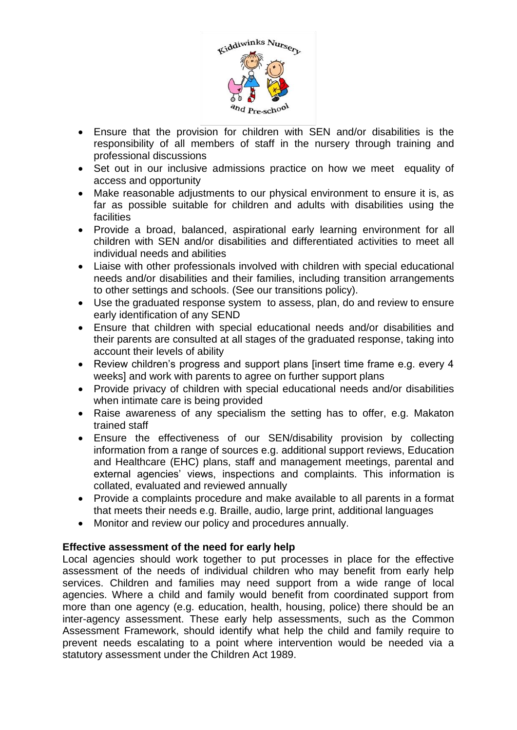

- Ensure that the provision for children with SEN and/or disabilities is the responsibility of all members of staff in the nursery through training and professional discussions
- Set out in our inclusive admissions practice on how we meet equality of access and opportunity
- Make reasonable adjustments to our physical environment to ensure it is, as far as possible suitable for children and adults with disabilities using the facilities
- Provide a broad, balanced, aspirational early learning environment for all children with SEN and/or disabilities and differentiated activities to meet all individual needs and abilities
- Liaise with other professionals involved with children with special educational needs and/or disabilities and their families, including transition arrangements to other settings and schools. (See our transitions policy).
- Use the graduated response system to assess, plan, do and review to ensure early identification of any SEND
- Ensure that children with special educational needs and/or disabilities and their parents are consulted at all stages of the graduated response, taking into account their levels of ability
- Review children's progress and support plans [insert time frame e.g. every 4 weeks] and work with parents to agree on further support plans
- Provide privacy of children with special educational needs and/or disabilities when intimate care is being provided
- Raise awareness of any specialism the setting has to offer, e.g. Makaton trained staff
- Ensure the effectiveness of our SEN/disability provision by collecting information from a range of sources e.g. additional support reviews, Education and Healthcare (EHC) plans, staff and management meetings, parental and external agencies' views, inspections and complaints. This information is collated, evaluated and reviewed annually
- Provide a complaints procedure and make available to all parents in a format that meets their needs e.g. Braille, audio, large print, additional languages
- Monitor and review our policy and procedures annually.

## **Effective assessment of the need for early help**

Local agencies should work together to put processes in place for the effective assessment of the needs of individual children who may benefit from early help services. Children and families may need support from a wide range of local agencies. Where a child and family would benefit from coordinated support from more than one agency (e.g. education, health, housing, police) there should be an inter-agency assessment. These early help assessments, such as the Common Assessment Framework, should identify what help the child and family require to prevent needs escalating to a point where intervention would be needed via a statutory assessment under the Children Act 1989.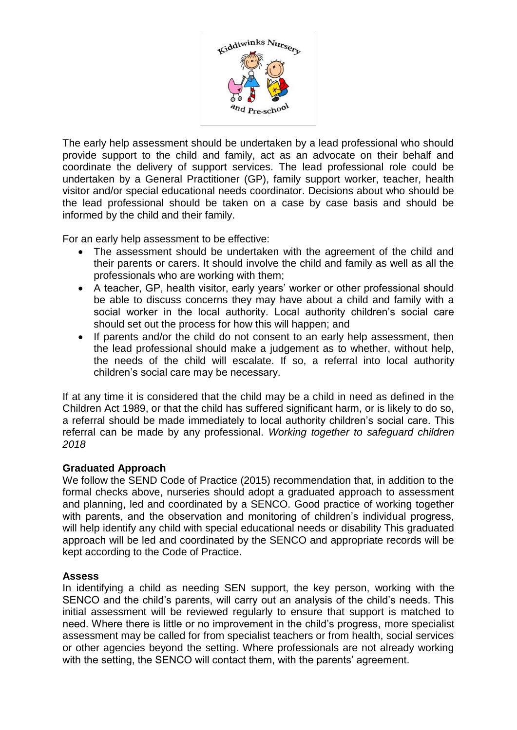

The early help assessment should be undertaken by a lead professional who should provide support to the child and family, act as an advocate on their behalf and coordinate the delivery of support services. The lead professional role could be undertaken by a General Practitioner (GP), family support worker, teacher, health visitor and/or special educational needs coordinator. Decisions about who should be the lead professional should be taken on a case by case basis and should be informed by the child and their family.

For an early help assessment to be effective:

- The assessment should be undertaken with the agreement of the child and their parents or carers. It should involve the child and family as well as all the professionals who are working with them;
- A teacher, GP, health visitor, early years' worker or other professional should be able to discuss concerns they may have about a child and family with a social worker in the local authority. Local authority children's social care should set out the process for how this will happen; and
- If parents and/or the child do not consent to an early help assessment, then the lead professional should make a judgement as to whether, without help, the needs of the child will escalate. If so, a referral into local authority children's social care may be necessary.

If at any time it is considered that the child may be a child in need as defined in the Children Act 1989, or that the child has suffered significant harm, or is likely to do so, a referral should be made immediately to local authority children's social care. This referral can be made by any professional. *Working together to safeguard children 2018*

#### **Graduated Approach**

We follow the SEND Code of Practice (2015) recommendation that, in addition to the formal checks above, nurseries should adopt a graduated approach to assessment and planning, led and coordinated by a SENCO. Good practice of working together with parents, and the observation and monitoring of children's individual progress, will help identify any child with special educational needs or disability This graduated approach will be led and coordinated by the SENCO and appropriate records will be kept according to the Code of Practice.

#### **Assess**

In identifying a child as needing SEN support, the key person, working with the SENCO and the child's parents, will carry out an analysis of the child's needs. This initial assessment will be reviewed regularly to ensure that support is matched to need. Where there is little or no improvement in the child's progress, more specialist assessment may be called for from specialist teachers or from health, social services or other agencies beyond the setting. Where professionals are not already working with the setting, the SENCO will contact them, with the parents' agreement.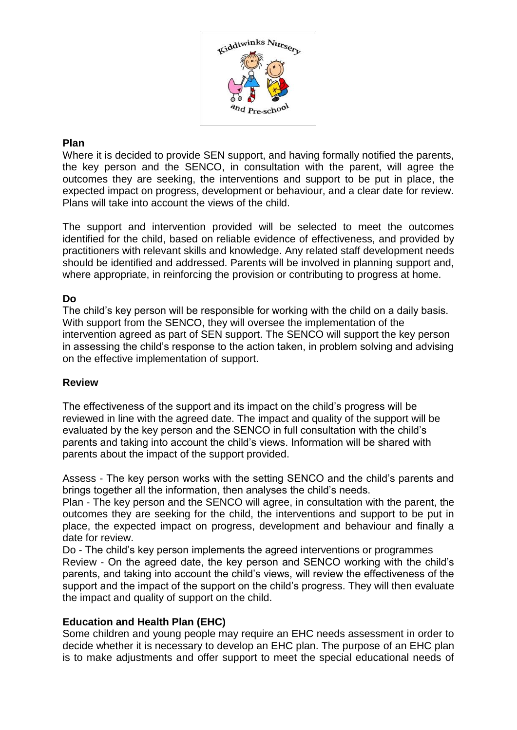

### **Plan**

Where it is decided to provide SEN support, and having formally notified the parents, the key person and the SENCO, in consultation with the parent, will agree the outcomes they are seeking, the interventions and support to be put in place, the expected impact on progress, development or behaviour, and a clear date for review. Plans will take into account the views of the child.

The support and intervention provided will be selected to meet the outcomes identified for the child, based on reliable evidence of effectiveness, and provided by practitioners with relevant skills and knowledge. Any related staff development needs should be identified and addressed. Parents will be involved in planning support and, where appropriate, in reinforcing the provision or contributing to progress at home.

## **Do**

The child's key person will be responsible for working with the child on a daily basis. With support from the SENCO, they will oversee the implementation of the intervention agreed as part of SEN support. The SENCO will support the key person in assessing the child's response to the action taken, in problem solving and advising on the effective implementation of support.

#### **Review**

The effectiveness of the support and its impact on the child's progress will be reviewed in line with the agreed date. The impact and quality of the support will be evaluated by the key person and the SENCO in full consultation with the child's parents and taking into account the child's views. Information will be shared with parents about the impact of the support provided.

Assess - The key person works with the setting SENCO and the child's parents and brings together all the information, then analyses the child's needs.

Plan - The key person and the SENCO will agree, in consultation with the parent, the outcomes they are seeking for the child, the interventions and support to be put in place, the expected impact on progress, development and behaviour and finally a date for review.

Do - The child's key person implements the agreed interventions or programmes Review - On the agreed date, the key person and SENCO working with the child's parents, and taking into account the child's views, will review the effectiveness of the support and the impact of the support on the child's progress. They will then evaluate the impact and quality of support on the child.

## **Education and Health Plan (EHC)**

Some children and young people may require an EHC needs assessment in order to decide whether it is necessary to develop an EHC plan. The purpose of an EHC plan is to make adjustments and offer support to meet the special educational needs of